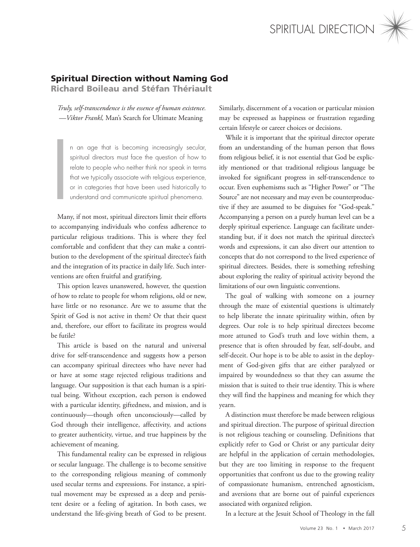

## Spiritual Direction without Naming God

Richard Boileau and Stéfan Thériault

*Truly, self-transcendence is the essence of human existence. —Viktor Frankl,* Man's Search for Ultimate Meaning

n an age that is becoming increasingly secular, spiritual directors must face the question of how to relate to people who neither think nor speak in terms that we typically associate with religious experience, or in categories that have been used historically to understand and communicate spiritual phenomena.

I<br>I<br>Man Many, if not most, spiritual directors limit their efforts to accompanying individuals who confess adherence to particular religious traditions. This is where they feel comfortable and confident that they can make a contribution to the development of the spiritual directee's faith and the integration of its practice in daily life. Such interventions are often fruitful and gratifying.

This option leaves unanswered, however, the question of how to relate to people for whom religions, old or new, have little or no resonance. Are we to assume that the Spirit of God is not active in them? Or that their quest and, therefore, our effort to facilitate its progress would be futile?

This article is based on the natural and universal drive for self-transcendence and suggests how a person can accompany spiritual directees who have never had or have at some stage rejected religious traditions and language. Our supposition is that each human is a spiritual being. Without exception, each person is endowed with a particular identity, giftedness, and mission, and is continuously—though often unconsciously—called by God through their intelligence, affectivity, and actions to greater authenticity, virtue, and true happiness by the achievement of meaning.

This fundamental reality can be expressed in religious or secular language. The challenge is to become sensitive to the corresponding religious meaning of commonly used secular terms and expressions. For instance, a spiritual movement may be expressed as a deep and persistent desire or a feeling of agitation. In both cases, we understand the life-giving breath of God to be present.

Similarly, discernment of a vocation or particular mission may be expressed as happiness or frustration regarding certain lifestyle or career choices or decisions.

While it is important that the spiritual director operate from an understanding of the human person that flows from religious belief, it is not essential that God be explicitly mentioned or that traditional religious language be invoked for significant progress in self-transcendence to occur. Even euphemisms such as "Higher Power" or "The Source" are not necessary and may even be counterproductive if they are assumed to be disguises for "God-speak." Accompanying a person on a purely human level can be a deeply spiritual experience. Language can facilitate understanding but, if it does not match the spiritual directee's words and expressions, it can also divert our attention to concepts that do not correspond to the lived experience of spiritual directees. Besides, there is something refreshing about exploring the reality of spiritual activity beyond the limitations of our own linguistic conventions.

The goal of walking with someone on a journey through the maze of existential questions is ultimately to help liberate the innate spirituality within, often by degrees. Our role is to help spiritual directees become more attuned to God's truth and love within them, a presence that is often shrouded by fear, self-doubt, and self-deceit. Our hope is to be able to assist in the deployment of God-given gifts that are either paralyzed or impaired by woundedness so that they can assume the mission that is suited to their true identity. This is where they will find the happiness and meaning for which they yearn.

A distinction must therefore be made between religious and spiritual direction. The purpose of spiritual direction is not religious teaching or counseling. Definitions that explicitly refer to God or Christ or any particular deity are helpful in the application of certain methodologies, but they are too limiting in response to the frequent opportunities that confront us due to the growing reality of compassionate humanism, entrenched agnosticism, and aversions that are borne out of painful experiences associated with organized religion.

In a lecture at the Jesuit School of Theology in the fall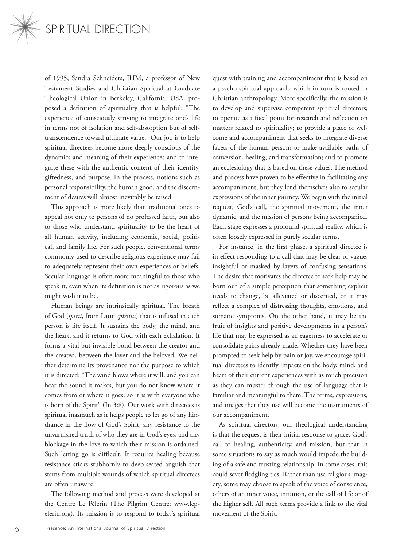

of 1995, Sandra Schneiders, IHM, a professor of New Testament Studies and Christian Spiritual at Graduate Theological Union in Berkeley, California, USA, proposed a definition of spirituality that is helpful: "The experience of consciously striving to integrate one's life in terms not of isolation and self-absorption but of selftranscendence toward ultimate value." Our job is to help spiritual directees become more deeply conscious of the dynamics and meaning of their experiences and to integrate these with the authentic content of their identity, giftedness, and purpose. In the process, notions such as personal responsibility, the human good, and the discernment of desires will almost inevitably be raised.

This approach is more likely than traditional ones to appeal not only to persons of no professed faith, but also to those who understand spirituality to be the heart of all human activity, including economic, social, political, and family life. For such people, conventional terms commonly used to describe religious experience may fail to adequately represent their own experiences or beliefs. Secular language is often more meaningful to those who speak it, even when its definition is not as rigorous as we might wish it to be.

Human beings are intrinsically spiritual. The breath of God (*spirit*, from Latin *spīritus*) that is infused in each person is life itself. It sustains the body, the mind, and the heart, and it returns to God with each exhalation. It forms a vital but invisible bond between the creator and the created, between the lover and the beloved. We neither determine its provenance nor the purpose to which it is directed: "The wind blows where it will, and you can hear the sound it makes, but you do not know where it comes from or where it goes; so it is with everyone who is born of the Spirit" (Jn 3:8). Our work with directees is spiritual inasmuch as it helps people to let go of any hindrance in the flow of God's Spirit, any resistance to the unvarnished truth of who they are in God's eyes, and any blockage in the love to which their mission is ordained. Such letting go is difficult. It requires healing because resistance sticks stubbornly to deep-seated anguish that stems from multiple wounds of which spiritual directees are often unaware.

The following method and process were developed at the Centre Le Pèlerin (The Pilgrim Centre; www.lepelerin.org). Its mission is to respond to today's spiritual

quest with training and accompaniment that is based on a psycho-spiritual approach, which in turn is rooted in Christian anthropology. More specifically, the mission is to develop and supervise competent spiritual directors; to operate as a focal point for research and reflection on matters related to spirituality; to provide a place of welcome and accompaniment that seeks to integrate diverse facets of the human person; to make available paths of conversion, healing, and transformation; and to promote an ecclesiology that is based on these values. The method and process have proven to be effective in facilitating any accompaniment, but they lend themselves also to secular expressions of the inner journey. We begin with the initial request, God's call, the spiritual movement, the inner dynamic, and the mission of persons being accompanied. Each stage expresses a profound spiritual reality, which is often loosely expressed in purely secular terms.

For instance, in the first phase, a spiritual directee is in effect responding to a call that may be clear or vague, insightful or masked by layers of confusing sensations. The desire that motivates the directee to seek help may be born out of a simple perception that something explicit needs to change, be alleviated or discerned, or it may reflect a complex of distressing thoughts, emotions, and somatic symptoms. On the other hand, it may be the fruit of insights and positive developments in a person's life that may be expressed as an eagerness to accelerate or consolidate gains already made. Whether they have been prompted to seek help by pain or joy, we encourage spiritual directees to identify impacts on the body, mind, and heart of their current experiences with as much precision as they can muster through the use of language that is familiar and meaningful to them. The terms, expressions, and images that they use will become the instruments of our accompaniment.

As spiritual directors, our theological understanding is that the request is their initial response to grace, God's call to healing, authenticity, and mission, but that in some situations to say as much would impede the building of a safe and trusting relationship. In some cases, this could sever fledgling ties. Rather than use religious imagery, some may choose to speak of the voice of conscience, others of an inner voice, intuition, or the call of life or of the higher self. All such terms provide a link to the vital movement of the Spirit.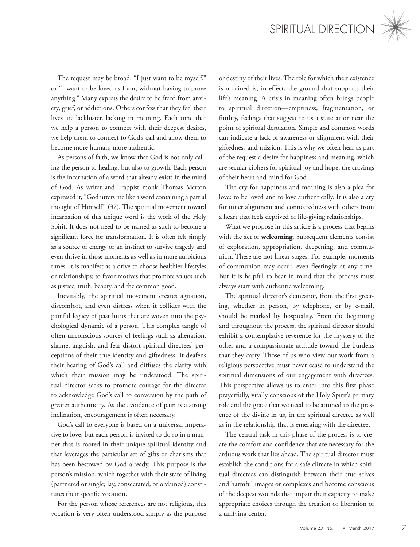

The request may be broad: "I just want to be myself," or "I want to be loved as I am, without having to prove anything." Many express the desire to be freed from anxiety, grief, or addictions. Others confess that they feel their lives are lackluster, lacking in meaning. Each time that we help a person to connect with their deepest desires, we help them to connect to God's call and allow them to become more human, more authentic.

As persons of faith, we know that God is not only calling the person to healing, but also to growth. Each person is the incarnation of a word that already exists in the mind of God. As writer and Trappist monk Thomas Merton expressed it, "God utters me like a word containing a partial thought of Himself" (37). The spiritual movement toward incarnation of this unique word is the work of the Holy Spirit. It does not need to be named as such to become a significant force for transformation. It is often felt simply as a source of energy or an instinct to survive tragedy and even thrive in those moments as well as in more auspicious times. It is manifest as a drive to choose healthier lifestyles or relationships; to favor motives that promote values such as justice, truth, beauty, and the common good.

Inevitably, the spiritual movement creates agitation, discomfort, and even distress when it collides with the painful legacy of past hurts that are woven into the psychological dynamic of a person. This complex tangle of often unconscious sources of feelings such as alienation, shame, anguish, and fear distort spiritual directees' perceptions of their true identity and giftedness. It deafens their hearing of God's call and diffuses the clarity with which their mission may be understood. The spiritual director seeks to promote courage for the directee to acknowledge God's call to conversion by the path of greater authenticity. As the avoidance of pain is a strong inclination, encouragement is often necessary.

God's call to everyone is based on a universal imperative to love, but each person is invited to do so in a manner that is rooted in their unique spiritual identity and that leverages the particular set of gifts or charisms that has been bestowed by God already. This purpose is the person's mission, which together with their state of living (partnered or single; lay, consecrated, or ordained) constitutes their specific vocation.

For the person whose references are not religious, this vocation is very often understood simply as the purpose or destiny of their lives. The role for which their existence is ordained is, in effect, the ground that supports their life's meaning. A crisis in meaning often brings people to spiritual direction—emptiness, fragmentation, or futility, feelings that suggest to us a state at or near the point of spiritual desolation. Simple and common words can indicate a lack of awareness or alignment with their giftedness and mission. This is why we often hear as part of the request a desire for happiness and meaning, which are secular ciphers for spiritual joy and hope, the cravings of their heart and mind for God.

The cry for happiness and meaning is also a plea for love: to be loved and to love authentically. It is also a cry for inner alignment and connectedness with others from a heart that feels deprived of life-giving relationships.

What we propose in this article is a process that begins with the act of **welcoming**. Subsequent elements consist of exploration, appropriation, deepening, and communion. These are not linear stages. For example, moments of communion may occur, even fleetingly, at any time. But it is helpful to bear in mind that the process must always start with authentic welcoming.

The spiritual director's demeanor, from the first greeting, whether in person, by telephone, or by e-mail, should be marked by hospitality. From the beginning and throughout the process, the spiritual director should exhibit a contemplative reverence for the mystery of the other and a compassionate attitude toward the burdens that they carry. Those of us who view our work from a religious perspective must never cease to understand the spiritual dimensions of our engagement with directees. This perspective allows us to enter into this first phase prayerfully, vitally conscious of the Holy Spirit's primary role and the grace that we need to be attuned to the presence of the divine in us, in the spiritual directee as well as in the relationship that is emerging with the directee.

The central task in this phase of the process is to create the comfort and confidence that are necessary for the arduous work that lies ahead. The spiritual director must establish the conditions for a safe climate in which spiritual directees can distinguish between their true selves and harmful images or complexes and become conscious of the deepest wounds that impair their capacity to make appropriate choices through the creation or liberation of a unifying center.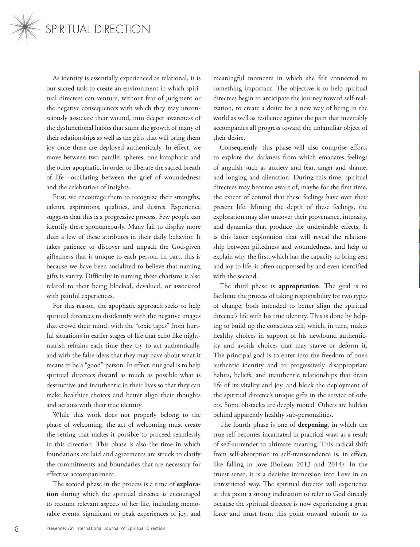

As identity is essentially experienced as relational, it is our sacred task to create an environment in which spiritual directees can venture, without fear of judgment or the negative consequences with which they may unconsciously associate their wound, into deeper awareness of the dysfunctional habits that stunt the growth of many of their relationships as well as the gifts that will bring them joy once these are deployed authentically. In effect, we move between two parallel spheres, one kataphatic and the other apophatic, in order to liberate the sacred breath of life—oscillating between the grief of woundedness and the celebration of insights.

First, we encourage them to recognize their strengths, talents, aspirations, qualities, and desires. Experience suggests that this is a progressive process. Few people can identify these spontaneously. Many fail to display more than a few of these attributes in their daily behavior. It takes patience to discover and unpack the God-given giftedness that is unique to each person. In part, this is because we have been socialized to believe that naming gifts is vanity. Difficulty in naming these charisms is also related to their being blocked, devalued, or associated with painful experiences.

For this reason, the apophatic approach seeks to help spiritual directees to disidentify with the negative images that crowd their mind, with the "toxic tapes" from hurtful situations in earlier stages of life that echo like nightmarish refrains each time they try to act authentically, and with the false ideas that they may have about what it means to be a "good" person. In effect, our goal is to help spiritual directees discard as much as possible what is destructive and inauthentic in their lives so that they can make healthier choices and better align their thoughts and actions with their true identity.

While this work does not properly belong to the phase of welcoming, the act of welcoming must create the setting that makes it possible to proceed seamlessly in this direction. This phase is also the time in which foundations are laid and agreements are struck to clarify the commitments and boundaries that are necessary for effective accompaniment.

The second phase in the process is a time of **exploration** during which the spiritual directee is encouraged to recount relevant aspects of her life, including memorable events, significant or peak experiences of joy, and meaningful moments in which she felt connected to something important. The objective is to help spiritual directees begin to anticipate the journey toward self-realization, to create a desire for a new way of being in the world as well as resilience against the pain that inevitably accompanies all progress toward the unfamiliar object of their desire.

Consequently, this phase will also comprise efforts to explore the darkness from which emanates feelings of anguish such as anxiety and fear, anger and shame, and longing and alienation. During this time, spiritual directees may become aware of, maybe for the first time, the extent of control that these feelings have over their present life. Mining the depth of these feelings, the exploration may also uncover their provenance, intensity, and dynamics that produce the undesirable effects. It is this latter exploration that will reveal the relationship between giftedness and woundedness, and help to explain why the first, which has the capacity to bring zest and joy to life, is often suppressed by and even identified with the second.

The third phase is **appropriation**. The goal is to facilitate the process of taking responsibility for two types of change, both intended to better align the spiritual directee's life with his true identity. This is done by helping to build up the conscious self, which, in turn, makes healthy choices in support of his newfound authenticity and avoids choices that may starve or deform it. The principal goal is to enter into the freedom of one's authentic identity and to progressively disappropriate habits, beliefs, and inauthentic relationships that drain life of its vitality and joy, and block the deployment of the spiritual directee's unique gifts in the service of others. Some obstacles are deeply rooted. Others are hidden behind apparently healthy sub-personalities.

The fourth phase is one of **deepening**, in which the true self becomes incarnated in practical ways as a result of self-surrender to ultimate meaning. This radical shift from self-absorption to self-transcendence is, in effect, like falling in love (Boileau 2013 and 2014). In the truest sense, it is a decisive immersion into Love in an unrestricted way. The spiritual director will experience at this point a strong inclination to refer to God directly because the spiritual directee is now experiencing a great force and must from this point onward submit to its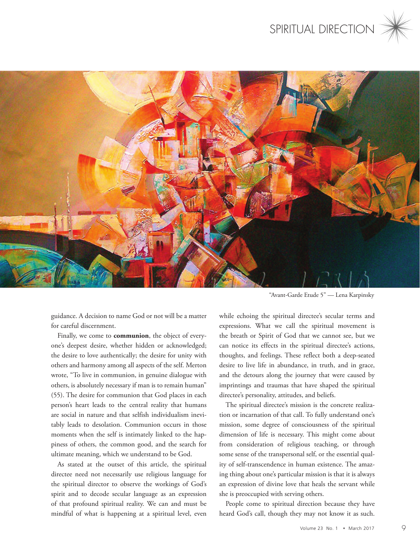



"Avant-Garde Etude 5" — Lena Karpinsky

guidance. A decision to name God or not will be a matter for careful discernment.

Finally, we come to **communion**, the object of everyone's deepest desire, whether hidden or acknowledged; the desire to love authentically; the desire for unity with others and harmony among all aspects of the self. Merton wrote, "To live in communion, in genuine dialogue with others, is absolutely necessary if man is to remain human" (55). The desire for communion that God places in each person's heart leads to the central reality that humans are social in nature and that selfish individualism inevitably leads to desolation. Communion occurs in those moments when the self is intimately linked to the happiness of others, the common good, and the search for ultimate meaning, which we understand to be God.

As stated at the outset of this article, the spiritual directee need not necessarily use religious language for the spiritual director to observe the workings of God's spirit and to decode secular language as an expression of that profound spiritual reality. We can and must be mindful of what is happening at a spiritual level, even

while echoing the spiritual directee's secular terms and expressions. What we call the spiritual movement is the breath or Spirit of God that we cannot see, but we can notice its effects in the spiritual directee's actions, thoughts, and feelings. These reflect both a deep-seated desire to live life in abundance, in truth, and in grace, and the detours along the journey that were caused by imprintings and traumas that have shaped the spiritual directee's personality, attitudes, and beliefs.

The spiritual directee's mission is the concrete realization or incarnation of that call. To fully understand one's mission, some degree of consciousness of the spiritual dimension of life is necessary. This might come about from consideration of religious teaching, or through some sense of the transpersonal self, or the essential quality of self-transcendence in human existence. The amazing thing about one's particular mission is that it is always an expression of divine love that heals the servant while she is preoccupied with serving others.

People come to spiritual direction because they have heard God's call, though they may not know it as such.